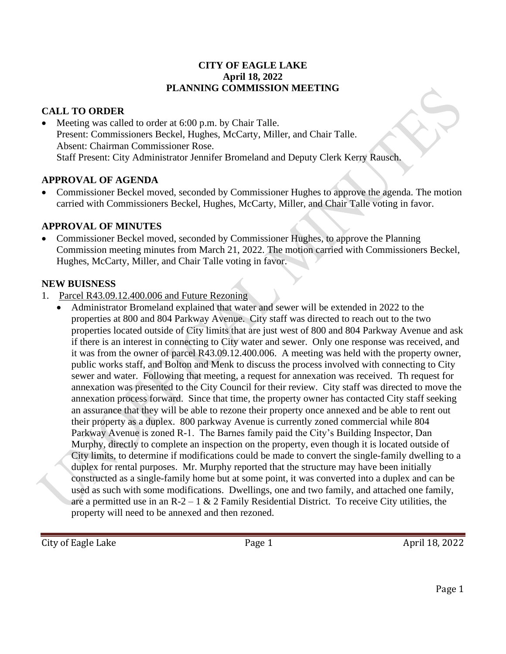#### **CITY OF EAGLE LAKE April 18, 2022 PLANNING COMMISSION MEETING**

# **CALL TO ORDER**

Meeting was called to order at 6:00 p.m. by Chair Talle. Present: Commissioners Beckel, Hughes, McCarty, Miller, and Chair Talle. Absent: Chairman Commissioner Rose. Staff Present: City Administrator Jennifer Bromeland and Deputy Clerk Kerry Rausch.

### **APPROVAL OF AGENDA**

• Commissioner Beckel moved, seconded by Commissioner Hughes to approve the agenda. The motion carried with Commissioners Beckel, Hughes, McCarty, Miller, and Chair Talle voting in favor.

### **APPROVAL OF MINUTES**

• Commissioner Beckel moved, seconded by Commissioner Hughes, to approve the Planning Commission meeting minutes from March 21, 2022. The motion carried with Commissioners Beckel, Hughes, McCarty, Miller, and Chair Talle voting in favor.

### **NEW BUISNESS**

- 1. Parcel R43.09.12.400.006 and Future Rezoning
	- Administrator Bromeland explained that water and sewer will be extended in 2022 to the properties at 800 and 804 Parkway Avenue. City staff was directed to reach out to the two properties located outside of City limits that are just west of 800 and 804 Parkway Avenue and ask if there is an interest in connecting to City water and sewer. Only one response was received, and it was from the owner of parcel R43.09.12.400.006. A meeting was held with the property owner, public works staff, and Bolton and Menk to discuss the process involved with connecting to City sewer and water. Following that meeting, a request for annexation was received. Th request for annexation was presented to the City Council for their review. City staff was directed to move the annexation process forward. Since that time, the property owner has contacted City staff seeking an assurance that they will be able to rezone their property once annexed and be able to rent out their property as a duplex. 800 parkway Avenue is currently zoned commercial while 804 Parkway Avenue is zoned R-1. The Barnes family paid the City's Building Inspector, Dan Murphy, directly to complete an inspection on the property, even though it is located outside of City limits, to determine if modifications could be made to convert the single-family dwelling to a duplex for rental purposes. Mr. Murphy reported that the structure may have been initially constructed as a single-family home but at some point, it was converted into a duplex and can be used as such with some modifications. Dwellings, one and two family, and attached one family, are a permitted use in an  $R-2-1 & 2$  Family Residential District. To receive City utilities, the property will need to be annexed and then rezoned.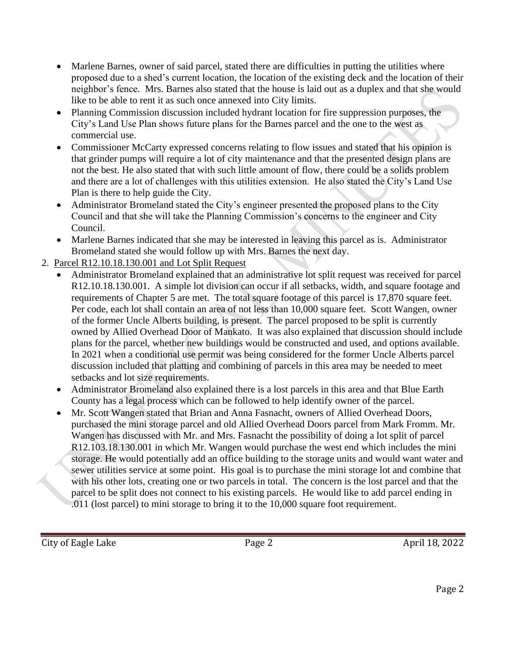- Marlene Barnes, owner of said parcel, stated there are difficulties in putting the utilities where proposed due to a shed's current location, the location of the existing deck and the location of their neighbor's fence. Mrs. Barnes also stated that the house is laid out as a duplex and that she would like to be able to rent it as such once annexed into City limits.
- Planning Commission discussion included hydrant location for fire suppression purposes, the City's Land Use Plan shows future plans for the Barnes parcel and the one to the west as commercial use.
- Commissioner McCarty expressed concerns relating to flow issues and stated that his opinion is that grinder pumps will require a lot of city maintenance and that the presented design plans are not the best. He also stated that with such little amount of flow, there could be a solids problem and there are a lot of challenges with this utilities extension. He also stated the City's Land Use Plan is there to help guide the City.
- Administrator Bromeland stated the City's engineer presented the proposed plans to the City Council and that she will take the Planning Commission's concerns to the engineer and City Council.
- Marlene Barnes indicated that she may be interested in leaving this parcel as is. Administrator Bromeland stated she would follow up with Mrs. Barnes the next day.
- 2. Parcel R12.10.18.130.001 and Lot Split Request
	- Administrator Bromeland explained that an administrative lot split request was received for parcel R12.10.18.130.001. A simple lot division can occur if all setbacks, width, and square footage and requirements of Chapter 5 are met. The total square footage of this parcel is 17,870 square feet. Per code, each lot shall contain an area of not less than 10,000 square feet. Scott Wangen, owner of the former Uncle Alberts building, is present. The parcel proposed to be split is currently owned by Allied Overhead Door of Mankato. It was also explained that discussion should include plans for the parcel, whether new buildings would be constructed and used, and options available. In 2021 when a conditional use permit was being considered for the former Uncle Alberts parcel discussion included that platting and combining of parcels in this area may be needed to meet setbacks and lot size requirements.
	- Administrator Bromeland also explained there is a lost parcels in this area and that Blue Earth County has a legal process which can be followed to help identify owner of the parcel.
	- Mr. Scott Wangen stated that Brian and Anna Fasnacht, owners of Allied Overhead Doors, purchased the mini storage parcel and old Allied Overhead Doors parcel from Mark Fromm. Mr. Wangen has discussed with Mr. and Mrs. Fasnacht the possibility of doing a lot split of parcel R12.103.18.130.001 in which Mr. Wangen would purchase the west end which includes the mini storage. He would potentially add an office building to the storage units and would want water and sewer utilities service at some point. His goal is to purchase the mini storage lot and combine that with his other lots, creating one or two parcels in total. The concern is the lost parcel and that the parcel to be split does not connect to his existing parcels. He would like to add parcel ending in .011 (lost parcel) to mini storage to bring it to the 10,000 square foot requirement.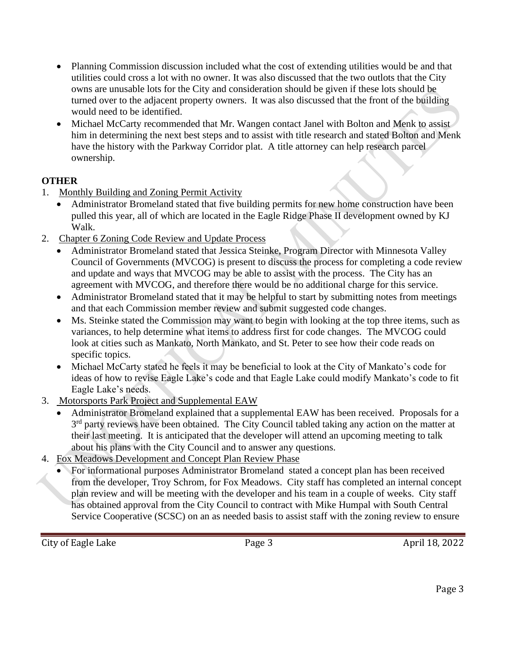- Planning Commission discussion included what the cost of extending utilities would be and that utilities could cross a lot with no owner. It was also discussed that the two outlots that the City owns are unusable lots for the City and consideration should be given if these lots should be turned over to the adjacent property owners. It was also discussed that the front of the building would need to be identified.
- Michael McCarty recommended that Mr. Wangen contact Janel with Bolton and Menk to assist him in determining the next best steps and to assist with title research and stated Bolton and Menk have the history with the Parkway Corridor plat. A title attorney can help research parcel ownership.

# **OTHER**

- 1. Monthly Building and Zoning Permit Activity
	- Administrator Bromeland stated that five building permits for new home construction have been pulled this year, all of which are located in the Eagle Ridge Phase II development owned by KJ Walk.
- 2. Chapter 6 Zoning Code Review and Update Process
	- Administrator Bromeland stated that Jessica Steinke, Program Director with Minnesota Valley Council of Governments (MVCOG) is present to discuss the process for completing a code review and update and ways that MVCOG may be able to assist with the process. The City has an agreement with MVCOG, and therefore there would be no additional charge for this service.
	- Administrator Bromeland stated that it may be helpful to start by submitting notes from meetings and that each Commission member review and submit suggested code changes.
	- Ms. Steinke stated the Commission may want to begin with looking at the top three items, such as variances, to help determine what items to address first for code changes. The MVCOG could look at cities such as Mankato, North Mankato, and St. Peter to see how their code reads on specific topics.
	- Michael McCarty stated he feels it may be beneficial to look at the City of Mankato's code for ideas of how to revise Eagle Lake's code and that Eagle Lake could modify Mankato's code to fit Eagle Lake's needs.
- 3. Motorsports Park Project and Supplemental EAW
	- Administrator Bromeland explained that a supplemental EAW has been received. Proposals for a 3<sup>rd</sup> party reviews have been obtained. The City Council tabled taking any action on the matter at their last meeting. It is anticipated that the developer will attend an upcoming meeting to talk about his plans with the City Council and to answer any questions.
- 4. Fox Meadows Development and Concept Plan Review Phase
	- For informational purposes Administrator Bromeland stated a concept plan has been received from the developer, Troy Schrom, for Fox Meadows. City staff has completed an internal concept plan review and will be meeting with the developer and his team in a couple of weeks. City staff has obtained approval from the City Council to contract with Mike Humpal with South Central Service Cooperative (SCSC) on an as needed basis to assist staff with the zoning review to ensure

City of Eagle Lake Page 3 April 18, 2022